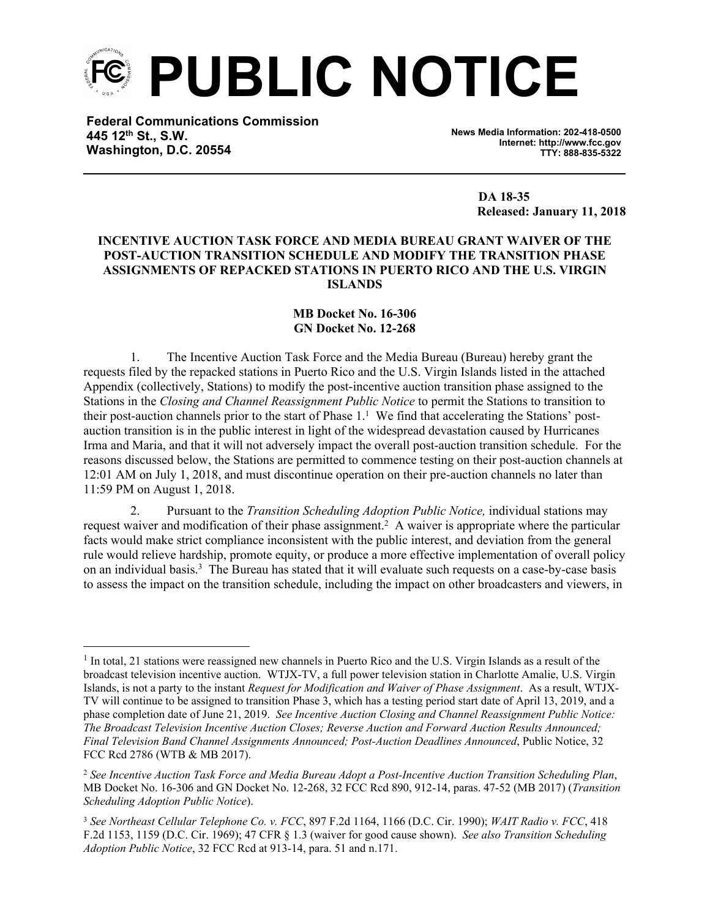

**Federal Communications Commission 445 12th St., S.W. Washington, D.C. 20554**

**News Media Information: 202-418-0500 Internet: http://www.fcc.gov TTY: 888-835-5322**

> **DA 18-35 Released: January 11, 2018**

## **INCENTIVE AUCTION TASK FORCE AND MEDIA BUREAU GRANT WAIVER OF THE POST-AUCTION TRANSITION SCHEDULE AND MODIFY THE TRANSITION PHASE ASSIGNMENTS OF REPACKED STATIONS IN PUERTO RICO AND THE U.S. VIRGIN ISLANDS**

## **MB Docket No. 16-306 GN Docket No. 12-268**

1. The Incentive Auction Task Force and the Media Bureau (Bureau) hereby grant the requests filed by the repacked stations in Puerto Rico and the U.S. Virgin Islands listed in the attached Appendix (collectively, Stations) to modify the post-incentive auction transition phase assigned to the Stations in the *Closing and Channel Reassignment Public Notice* to permit the Stations to transition to their post-auction channels prior to the start of Phase 1.<sup>1</sup> We find that accelerating the Stations' postauction transition is in the public interest in light of the widespread devastation caused by Hurricanes Irma and Maria, and that it will not adversely impact the overall post-auction transition schedule. For the reasons discussed below, the Stations are permitted to commence testing on their post-auction channels at 12:01 AM on July 1, 2018, and must discontinue operation on their pre-auction channels no later than 11:59 PM on August 1, 2018.

2. Pursuant to the *Transition Scheduling Adoption Public Notice,* individual stations may request waiver and modification of their phase assignment.<sup>2</sup> A waiver is appropriate where the particular facts would make strict compliance inconsistent with the public interest, and deviation from the general rule would relieve hardship, promote equity, or produce a more effective implementation of overall policy on an individual basis.<sup>3</sup> The Bureau has stated that it will evaluate such requests on a case-by-case basis to assess the impact on the transition schedule, including the impact on other broadcasters and viewers, in

<sup>&</sup>lt;sup>1</sup> In total, 21 stations were reassigned new channels in Puerto Rico and the U.S. Virgin Islands as a result of the broadcast television incentive auction. WTJX-TV, a full power television station in Charlotte Amalie, U.S. Virgin Islands, is not a party to the instant *Request for Modification and Waiver of Phase Assignment*. As a result, WTJX-TV will continue to be assigned to transition Phase 3, which has a testing period start date of April 13, 2019, and a phase completion date of June 21, 2019. *See Incentive Auction Closing and Channel Reassignment Public Notice: The Broadcast Television Incentive Auction Closes; Reverse Auction and Forward Auction Results Announced; Final Television Band Channel Assignments Announced; Post-Auction Deadlines Announced*, Public Notice, 32 FCC Rcd 2786 (WTB & MB 2017).

<sup>2</sup>  *See Incentive Auction Task Force and Media Bureau Adopt a Post-Incentive Auction Transition Scheduling Plan*, MB Docket No. 16-306 and GN Docket No. 12-268, 32 FCC Rcd 890, 912-14, paras. 47-52 (MB 2017) (*Transition Scheduling Adoption Public Notice*).

<sup>3</sup> *See Northeast Cellular Telephone Co. v. FCC*, 897 F.2d 1164, 1166 (D.C. Cir. 1990); *WAIT Radio v. FCC*, 418 F.2d 1153, 1159 (D.C. Cir. 1969); 47 CFR § 1.3 (waiver for good cause shown). *See also Transition Scheduling Adoption Public Notice*, 32 FCC Rcd at 913-14, para. 51 and n.171.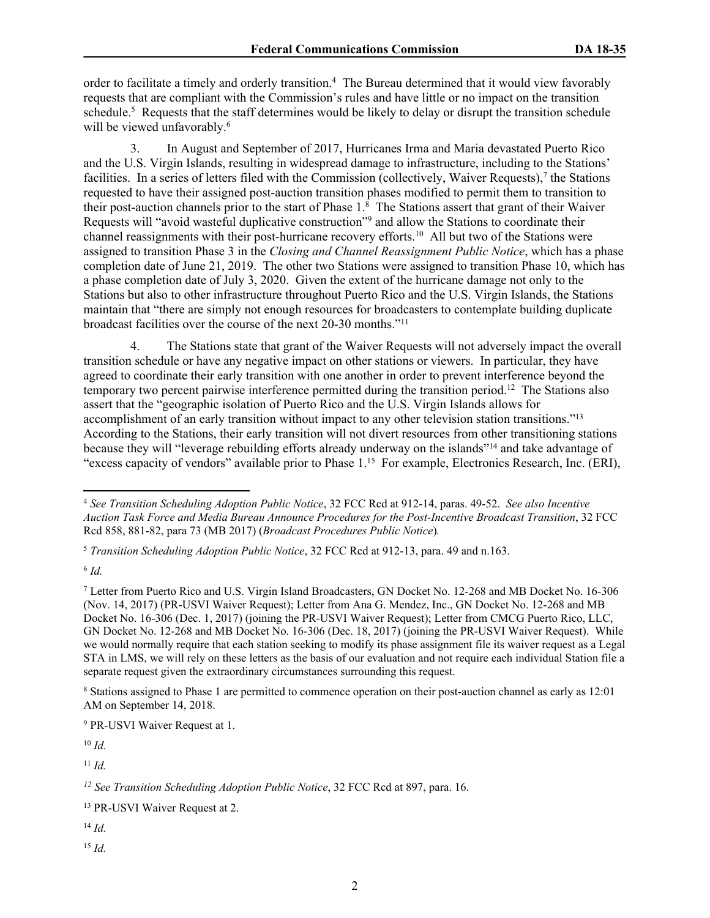order to facilitate a timely and orderly transition.<sup>4</sup> The Bureau determined that it would view favorably requests that are compliant with the Commission's rules and have little or no impact on the transition schedule.<sup>5</sup> Requests that the staff determines would be likely to delay or disrupt the transition schedule will be viewed unfavorably.<sup>6</sup>

3. In August and September of 2017, Hurricanes Irma and Maria devastated Puerto Rico and the U.S. Virgin Islands, resulting in widespread damage to infrastructure, including to the Stations' facilities. In a series of letters filed with the Commission (collectively, Waiver Requests),<sup>7</sup> the Stations requested to have their assigned post-auction transition phases modified to permit them to transition to their post-auction channels prior to the start of Phase 1.<sup>8</sup> The Stations assert that grant of their Waiver Requests will "avoid wasteful duplicative construction"<sup>9</sup> and allow the Stations to coordinate their channel reassignments with their post-hurricane recovery efforts.<sup>10</sup> All but two of the Stations were assigned to transition Phase 3 in the *Closing and Channel Reassignment Public Notice*, which has a phase completion date of June 21, 2019. The other two Stations were assigned to transition Phase 10, which has a phase completion date of July 3, 2020. Given the extent of the hurricane damage not only to the Stations but also to other infrastructure throughout Puerto Rico and the U.S. Virgin Islands, the Stations maintain that "there are simply not enough resources for broadcasters to contemplate building duplicate broadcast facilities over the course of the next 20-30 months."<sup>11</sup>

4. The Stations state that grant of the Waiver Requests will not adversely impact the overall transition schedule or have any negative impact on other stations or viewers. In particular, they have agreed to coordinate their early transition with one another in order to prevent interference beyond the temporary two percent pairwise interference permitted during the transition period.<sup>12</sup> The Stations also assert that the "geographic isolation of Puerto Rico and the U.S. Virgin Islands allows for accomplishment of an early transition without impact to any other television station transitions."<sup>13</sup> According to the Stations, their early transition will not divert resources from other transitioning stations because they will "leverage rebuilding efforts already underway on the islands"<sup>14</sup> and take advantage of "excess capacity of vendors" available prior to Phase 1.<sup>15</sup> For example, Electronics Research, Inc. (ERI),

6 *Id.*

<sup>10</sup> *Id.*

<sup>11</sup> *Id.*

<sup>14</sup> *Id.*

<sup>15</sup> *Id.*

<sup>4</sup> *See Transition Scheduling Adoption Public Notice*, 32 FCC Rcd at 912-14, paras. 49-52. *See also Incentive Auction Task Force and Media Bureau Announce Procedures for the Post-Incentive Broadcast Transition*, 32 FCC Rcd 858, 881-82, para 73 (MB 2017) (*Broadcast Procedures Public Notice*)*.*

<sup>5</sup> *Transition Scheduling Adoption Public Notice*, 32 FCC Rcd at 912-13, para. 49 and n.163.

<sup>7</sup> Letter from Puerto Rico and U.S. Virgin Island Broadcasters, GN Docket No. 12-268 and MB Docket No. 16-306 (Nov. 14, 2017) (PR-USVI Waiver Request); Letter from Ana G. Mendez, Inc., GN Docket No. 12-268 and MB Docket No. 16-306 (Dec. 1, 2017) (joining the PR-USVI Waiver Request); Letter from CMCG Puerto Rico, LLC, GN Docket No. 12-268 and MB Docket No. 16-306 (Dec. 18, 2017) (joining the PR-USVI Waiver Request). While we would normally require that each station seeking to modify its phase assignment file its waiver request as a Legal STA in LMS, we will rely on these letters as the basis of our evaluation and not require each individual Station file a separate request given the extraordinary circumstances surrounding this request.

<sup>8</sup> Stations assigned to Phase 1 are permitted to commence operation on their post-auction channel as early as 12:01 AM on September 14, 2018.

<sup>9</sup> PR-USVI Waiver Request at 1.

*<sup>12</sup> See Transition Scheduling Adoption Public Notice*, 32 FCC Rcd at 897, para. 16.

<sup>13</sup> PR-USVI Waiver Request at 2.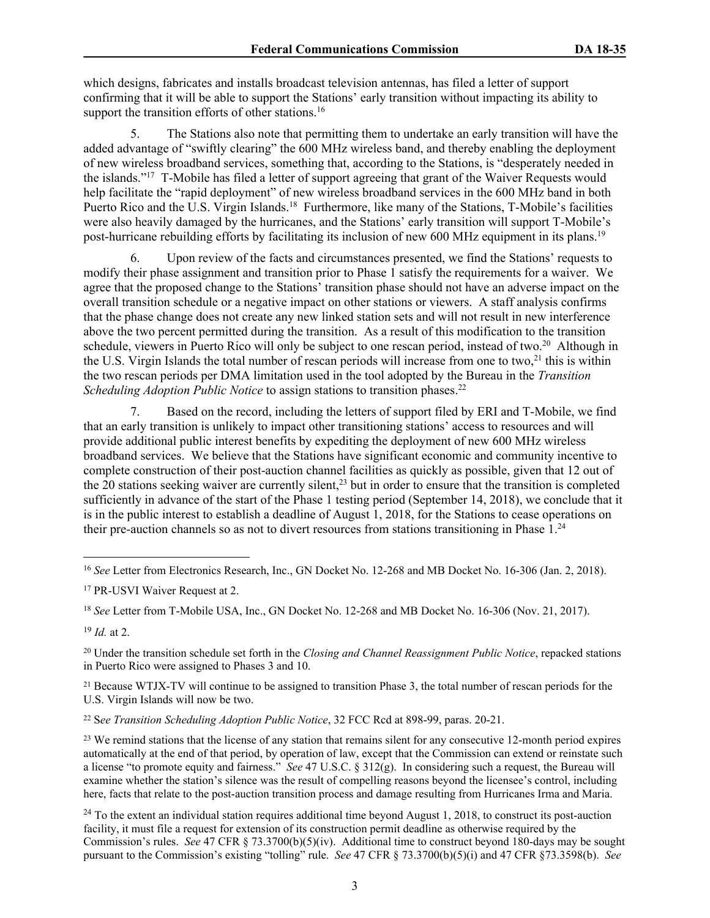which designs, fabricates and installs broadcast television antennas, has filed a letter of support confirming that it will be able to support the Stations' early transition without impacting its ability to support the transition efforts of other stations.<sup>16</sup>

5. The Stations also note that permitting them to undertake an early transition will have the added advantage of "swiftly clearing" the 600 MHz wireless band, and thereby enabling the deployment of new wireless broadband services, something that, according to the Stations, is "desperately needed in the islands."<sup>17</sup> T-Mobile has filed a letter of support agreeing that grant of the Waiver Requests would help facilitate the "rapid deployment" of new wireless broadband services in the 600 MHz band in both Puerto Rico and the U.S. Virgin Islands.<sup>18</sup> Furthermore, like many of the Stations, T-Mobile's facilities were also heavily damaged by the hurricanes, and the Stations' early transition will support T-Mobile's post-hurricane rebuilding efforts by facilitating its inclusion of new 600 MHz equipment in its plans.<sup>19</sup>

6. Upon review of the facts and circumstances presented, we find the Stations' requests to modify their phase assignment and transition prior to Phase 1 satisfy the requirements for a waiver. We agree that the proposed change to the Stations' transition phase should not have an adverse impact on the overall transition schedule or a negative impact on other stations or viewers. A staff analysis confirms that the phase change does not create any new linked station sets and will not result in new interference above the two percent permitted during the transition. As a result of this modification to the transition schedule, viewers in Puerto Rico will only be subject to one rescan period, instead of two.<sup>20</sup> Although in the U.S. Virgin Islands the total number of rescan periods will increase from one to two,<sup>21</sup> this is within the two rescan periods per DMA limitation used in the tool adopted by the Bureau in the *Transition Scheduling Adoption Public Notice* to assign stations to transition phases.<sup>22</sup>

Based on the record, including the letters of support filed by ERI and T-Mobile, we find that an early transition is unlikely to impact other transitioning stations' access to resources and will provide additional public interest benefits by expediting the deployment of new 600 MHz wireless broadband services. We believe that the Stations have significant economic and community incentive to complete construction of their post-auction channel facilities as quickly as possible, given that 12 out of the 20 stations seeking waiver are currently silent,<sup>23</sup> but in order to ensure that the transition is completed sufficiently in advance of the start of the Phase 1 testing period (September 14, 2018), we conclude that it is in the public interest to establish a deadline of August 1, 2018, for the Stations to cease operations on their pre-auction channels so as not to divert resources from stations transitioning in Phase 1.<sup>24</sup>

<sup>21</sup> Because WTJX-TV will continue to be assigned to transition Phase 3, the total number of rescan periods for the U.S. Virgin Islands will now be two.

<sup>16</sup> *See* Letter from Electronics Research, Inc., GN Docket No. 12-268 and MB Docket No. 16-306 (Jan. 2, 2018).

<sup>17</sup> PR-USVI Waiver Request at 2.

<sup>18</sup> *See* Letter from T-Mobile USA, Inc., GN Docket No. 12-268 and MB Docket No. 16-306 (Nov. 21, 2017).

<sup>19</sup> *Id.* at 2.

<sup>20</sup> Under the transition schedule set forth in the *Closing and Channel Reassignment Public Notice*, repacked stations in Puerto Rico were assigned to Phases 3 and 10.

<sup>22</sup> S*ee Transition Scheduling Adoption Public Notice*, 32 FCC Rcd at 898-99, paras. 20-21.

<sup>&</sup>lt;sup>23</sup> We remind stations that the license of any station that remains silent for any consecutive 12-month period expires automatically at the end of that period, by operation of law, except that the Commission can extend or reinstate such a license "to promote equity and fairness." *See* 47 U.S.C. § 312(g). In considering such a request, the Bureau will examine whether the station's silence was the result of compelling reasons beyond the licensee's control, including here, facts that relate to the post-auction transition process and damage resulting from Hurricanes Irma and Maria.

<sup>&</sup>lt;sup>24</sup> To the extent an individual station requires additional time beyond August 1, 2018, to construct its post-auction facility, it must file a request for extension of its construction permit deadline as otherwise required by the Commission's rules. *See* 47 CFR § 73.3700(b)(5)(iv). Additional time to construct beyond 180-days may be sought pursuant to the Commission's existing "tolling" rule. *See* 47 CFR § 73.3700(b)(5)(i) and 47 CFR §73.3598(b). *See*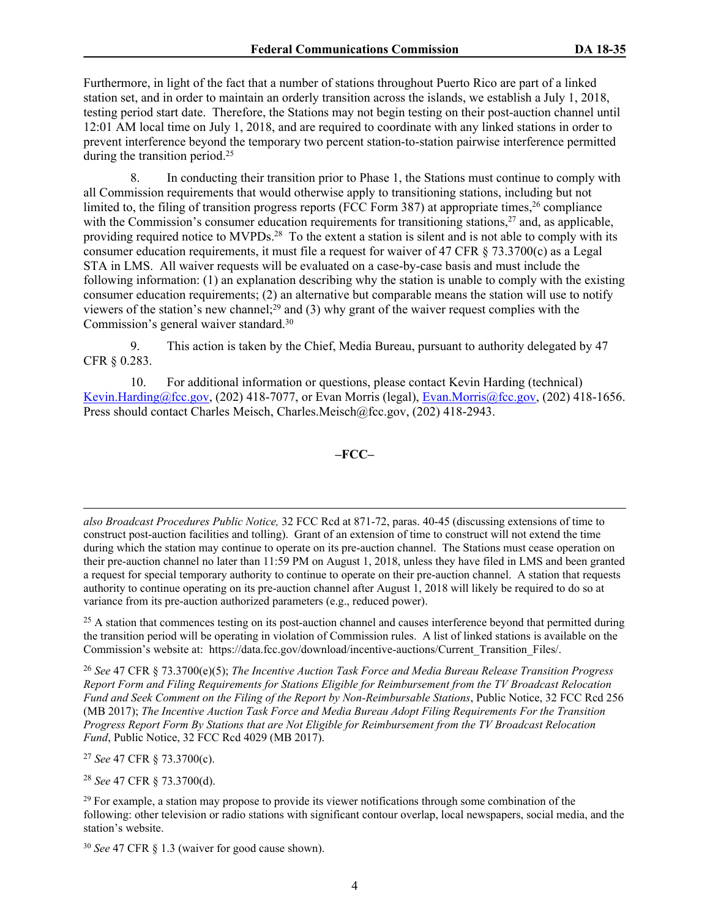Furthermore, in light of the fact that a number of stations throughout Puerto Rico are part of a linked station set, and in order to maintain an orderly transition across the islands, we establish a July 1, 2018, testing period start date. Therefore, the Stations may not begin testing on their post-auction channel until 12:01 AM local time on July 1, 2018, and are required to coordinate with any linked stations in order to prevent interference beyond the temporary two percent station-to-station pairwise interference permitted during the transition period.<sup>25</sup>

8. In conducting their transition prior to Phase 1, the Stations must continue to comply with all Commission requirements that would otherwise apply to transitioning stations, including but not limited to, the filing of transition progress reports (FCC Form 387) at appropriate times,  $26$  compliance with the Commission's consumer education requirements for transitioning stations,<sup>27</sup> and, as applicable, providing required notice to MVPDs.<sup>28</sup> To the extent a station is silent and is not able to comply with its consumer education requirements, it must file a request for waiver of 47 CFR  $\S$  73.3700(c) as a Legal STA in LMS. All waiver requests will be evaluated on a case-by-case basis and must include the following information: (1) an explanation describing why the station is unable to comply with the existing consumer education requirements; (2) an alternative but comparable means the station will use to notify viewers of the station's new channel;<sup>29</sup> and (3) why grant of the waiver request complies with the Commission's general waiver standard.<sup>30</sup>

9. This action is taken by the Chief, Media Bureau, pursuant to authority delegated by 47 CFR § 0.283.

10. For additional information or questions, please contact Kevin Harding (technical) [Kevin.Harding@fcc.gov](mailto:Kevin.Harding@fcc.gov), (202) 418-7077, or Evan Morris (legal), [Evan.Morris@fcc.gov](mailto:Evan.Morris@fcc.gov), (202) 418-1656. Press should contact Charles Meisch, Charles.Meisch@fcc.gov, (202) 418-2943.

**–FCC–**

*also Broadcast Procedures Public Notice,* 32 FCC Rcd at 871-72, paras. 40-45 (discussing extensions of time to construct post-auction facilities and tolling). Grant of an extension of time to construct will not extend the time during which the station may continue to operate on its pre-auction channel. The Stations must cease operation on their pre-auction channel no later than 11:59 PM on August 1, 2018, unless they have filed in LMS and been granted a request for special temporary authority to continue to operate on their pre-auction channel. A station that requests authority to continue operating on its pre-auction channel after August 1, 2018 will likely be required to do so at variance from its pre-auction authorized parameters (e.g., reduced power).

<sup>25</sup> A station that commences testing on its post-auction channel and causes interference beyond that permitted during the transition period will be operating in violation of Commission rules. A list of linked stations is available on the Commission's website at: https://data.fcc.gov/download/incentive-auctions/Current\_Transition\_Files/.

<sup>26</sup> *See* 47 CFR § 73.3700(e)(5); *The Incentive Auction Task Force and Media Bureau Release Transition Progress Report Form and Filing Requirements for Stations Eligible for Reimbursement from the TV Broadcast Relocation Fund and Seek Comment on the Filing of the Report by Non-Reimbursable Stations*, Public Notice, 32 FCC Rcd 256 (MB 2017); *The Incentive Auction Task Force and Media Bureau Adopt Filing Requirements For the Transition Progress Report Form By Stations that are Not Eligible for Reimbursement from the TV Broadcast Relocation Fund*, Public Notice, 32 FCC Rcd 4029 (MB 2017).

<sup>27</sup> *See* 47 CFR § 73.3700(c).

<sup>28</sup> *See* 47 CFR § 73.3700(d).

 $29$  For example, a station may propose to provide its viewer notifications through some combination of the following: other television or radio stations with significant contour overlap, local newspapers, social media, and the station's website.

30 *See* 47 CFR § 1.3 (waiver for good cause shown).